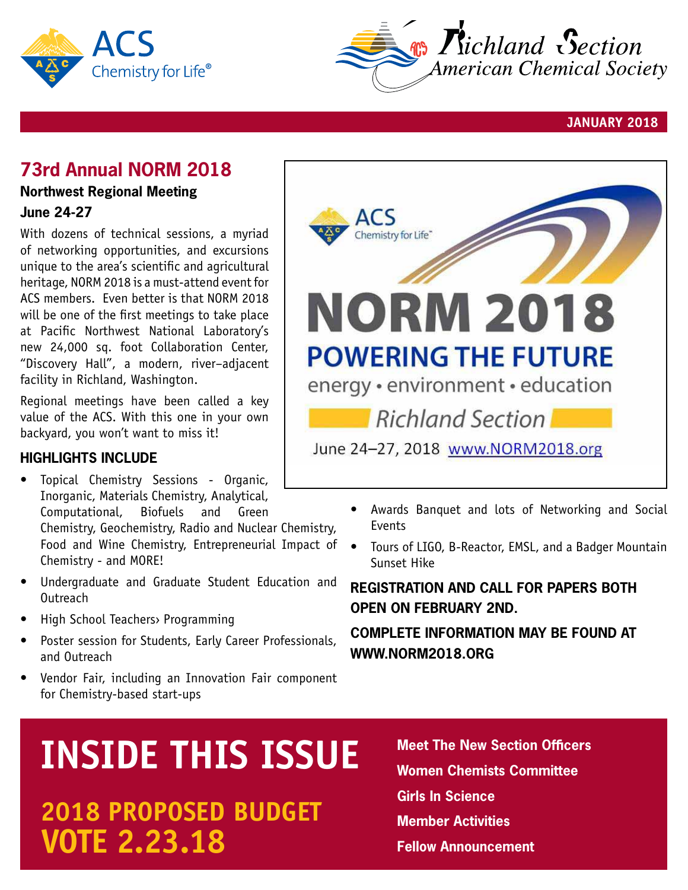



**JANUARY 2018**

## **73rd Annual NORM 2018**

#### **Northwest Regional Meeting June 24-27**

With dozens of technical sessions, a myriad of networking opportunities, and excursions unique to the area's scientific and agricultural heritage, NORM 2018 is a must-attend event for ACS members. Even better is that NORM 2018 will be one of the first meetings to take place at Pacific Northwest National Laboratory's new 24,000 sq. foot Collaboration Center, "Discovery Hall", a modern, river–adjacent facility in Richland, Washington.

Regional meetings have been called a key value of the ACS. With this one in your own backyard, you won't want to miss it!

#### **Highlights Include**

- Topical Chemistry Sessions Organic, Inorganic, Materials Chemistry, Analytical, Computational, Biofuels and Green Chemistry, Geochemistry, Radio and Nuclear Chemistry, Food and Wine Chemistry, Entrepreneurial Impact of Chemistry - and MORE!
- Undergraduate and Graduate Student Education and **Outreach**
- **High School Teachers** Programming
- Poster session for Students, Early Career Professionals, and Outreach
- Vendor Fair, including an Innovation Fair component for Chemistry-based start-ups

# Chemistry for Life" **NORM 2018 POWERING THE FUTURE** energy · environment · education Richland Section June 24-27, 2018 www.NORM2018.org

- Awards Banquet and lots of Networking and Social Events
- Tours of LIGO, B-Reactor, EMSL, and a Badger Mountain Sunset Hike

#### **Registration and Call for Papers both open on february 2nd.**

#### **Complete information may be found at www.NORM2018.org**

# **INSIDE THIS ISSUE** Meet The New Section Officers

# **VOTE 2.23.18 Fellow Announcement 2018 proposed BUDGET**

**Women Chemists Committee Girls In Science Member Activities**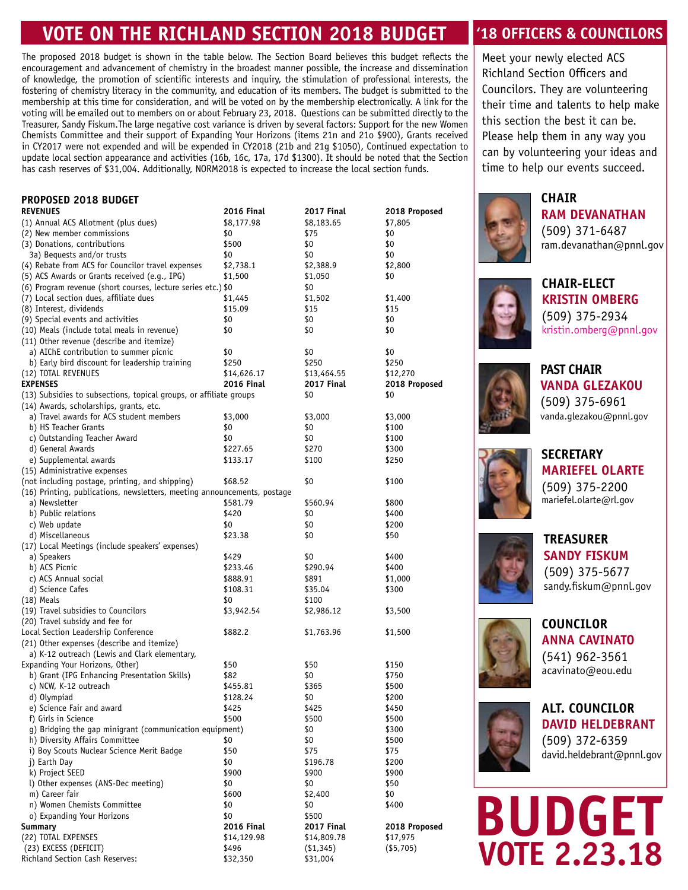# **VOTE ON THE richland section 2018 budget**

The proposed 2018 budget is shown in the table below. The Section Board believes this budget reflects the encouragement and advancement of chemistry in the broadest manner possible, the increase and dissemination of knowledge, the promotion of scientific interests and inquiry, the stimulation of professional interests, the fostering of chemistry literacy in the community, and education of its members. The budget is submitted to the membership at this time for consideration, and will be voted on by the membership electronically. A link for the voting will be emailed out to members on or about February 23, 2018. Questions can be submitted directly to the Treasurer, Sandy Fiskum.The large negative cost variance is driven by several factors: Support for the new Women Chemists Committee and their support of Expanding Your Horizons (items 21n and 21o \$900), Grants received in CY2017 were not expended and will be expended in CY2018 (21b and 21g \$1050), Continued expectation to update local section appearance and activities (16b, 16c, 17a, 17d \$1300). It should be noted that the Section has cash reserves of \$31,004. Additionally, NORM2018 is expected to increase the local section funds.

#### **Proposed 2018 budget**

| <b>REVENUES</b>                                                          | <b>2016 Final</b> | 2017 Final  | 2018 Proposed |
|--------------------------------------------------------------------------|-------------------|-------------|---------------|
| (1) Annual ACS Allotment (plus dues)                                     | \$8,177.98        | \$8,183.65  | \$7,805       |
| (2) New member commissions                                               | \$0               | \$75        | \$0           |
| (3) Donations, contributions                                             | \$500             | \$0         | \$0           |
| 3a) Bequests and/or trusts                                               | \$0               | \$0         | \$0           |
| (4) Rebate from ACS for Councilor travel expenses                        | \$2,738.1         | \$2,388.9   | \$2,800       |
| (5) ACS Awards or Grants received (e.g., IPG)                            | \$1,500           | \$1,050     | \$0           |
| (6) Program revenue (short courses, lecture series etc.) \$0             |                   | \$0         |               |
| (7) Local section dues, affiliate dues                                   | \$1,445           | \$1,502     | \$1,400       |
| (8) Interest, dividends                                                  | \$15.09           | \$15        | \$15          |
| (9) Special events and activities                                        | \$0               | \$0         | \$0           |
| (10) Meals (include total meals in revenue)                              | \$0               | \$0         | \$0           |
| (11) Other revenue (describe and itemize)                                |                   |             |               |
| a) AIChE contribution to summer picnic                                   | \$0               | \$0         | \$0           |
| b) Early bird discount for leadership training                           | \$250             | \$250       | \$250         |
| (12) TOTAL REVENUES                                                      | \$14,626.17       | \$13,464.55 | \$12,270      |
| <b>EXPENSES</b>                                                          | <b>2016 Final</b> | 2017 Final  | 2018 Proposed |
| (13) Subsidies to subsections, topical groups, or affiliate groups       |                   | \$0         | \$0           |
| (14) Awards, scholarships, grants, etc.                                  |                   |             |               |
| a) Travel awards for ACS student members                                 | \$3,000           | \$3,000     | \$3,000       |
| b) HS Teacher Grants                                                     | \$0               | \$0         | \$100         |
| c) Outstanding Teacher Award                                             | \$0               | \$0         | \$100         |
| d) General Awards                                                        | \$227.65          | \$270       | \$300         |
| e) Supplemental awards                                                   | \$133.17          | \$100       | \$250         |
| (15) Administrative expenses                                             |                   |             |               |
| (not including postage, printing, and shipping)                          | \$68.52           | \$0         | \$100         |
| (16) Printing, publications, newsletters, meeting announcements, postage |                   |             |               |
| a) Newsletter                                                            | \$581.79          | \$560.94    |               |
|                                                                          |                   |             | \$800         |
| b) Public relations                                                      | \$420             | \$0         | \$400         |
| c) Web update                                                            | \$0               | \$0         | \$200         |
| d) Miscellaneous                                                         | \$23.38           | \$0         | \$50          |
| (17) Local Meetings (include speakers' expenses)                         |                   |             |               |
| a) Speakers                                                              | \$429             | \$0         | \$400         |
| b) ACS Picnic                                                            | \$233.46          | \$290.94    | \$400         |
| c) ACS Annual social                                                     | \$888.91          | \$891       | \$1,000       |
| d) Science Cafes                                                         | \$108.31          | \$35.04     | \$300         |
| $(18)$ Meals                                                             | \$0               | \$100       |               |
| (19) Travel subsidies to Councilors                                      | \$3,942.54        | \$2,986.12  | \$3,500       |
| (20) Travel subsidy and fee for                                          |                   |             |               |
| Local Section Leadership Conference                                      | \$882.2           | \$1,763.96  | \$1,500       |
| (21) Other expenses (describe and itemize)                               |                   |             |               |
| a) K-12 outreach (Lewis and Clark elementary,                            |                   |             |               |
| Expanding Your Horizons, Other)                                          | \$50              | \$50        | \$150         |
| b) Grant (IPG Enhancing Presentation Skills)                             | \$82              | \$0         | \$750         |
| c) NCW, K-12 outreach                                                    | \$455.81          | \$365       | \$500         |
| d) Olympiad                                                              | \$128.24          | \$0         | \$200         |
| e) Science Fair and award                                                | \$425             | \$425       | \$450         |
| f) Girls in Science                                                      | \$500             | \$500       | \$500         |
| g) Bridging the gap minigrant (communication equipment)                  |                   | \$0         | \$300         |
| h) Diversity Affairs Committee                                           | \$0               | \$0         | \$500         |
| i) Boy Scouts Nuclear Science Merit Badge                                | \$50              | \$75        | \$75          |
| i) Earth Day                                                             | \$0               | \$196.78    | \$200         |
| k) Project SEED                                                          | \$900             | \$900       | \$900         |
| l) Other expenses (ANS-Dec meeting)                                      | \$0               | \$0         | \$50          |
| m) Career fair                                                           | \$600             | \$2,400     | \$0           |
| n) Women Chemists Committee                                              | \$0               | \$0         | \$400         |
| o) Expanding Your Horizons                                               | \$0               | \$500       |               |
| <b>Summary</b>                                                           | <b>2016 Final</b> | 2017 Final  | 2018 Proposed |
| (22) TOTAL EXPENSES                                                      | \$14,129.98       | \$14,809.78 | \$17,975      |
| (23) EXCESS (DEFICIT)                                                    | \$496             | ( \$1,345)  | ( \$5,705)    |
| Richland Section Cash Reserves:                                          | \$32,350          | \$31,004    |               |

#### **'18 officers & COUNCILORS**

Meet your newly elected ACS Richland Section Officers and Councilors. They are volunteering their time and talents to help make this section the best it can be. Please help them in any way you can by volunteering your ideas and time to help our events succeed.



**Chair ram Devanathan** (509) 371-6487 ram.devanathan@pnnl.gov



**chair-elect kristin omberg** (509) 375-2934 kristin.omberg@pnnl.gov



**past chair Vanda Glezakou** (509) 375-6961 vanda.glezakou@pnnl.gov



**Secretary mariefel Olarte** (509) 375-2200 mariefel.olarte@rl.gov



**Treasurer sandy fiskum** (509) 375-5677 sandy.fiskum@pnnl.gov



**Councilor ANNA CAVINATO** (541) 962-3561 acavinato@eou.edu



**alt. Councilor david heldebrant** (509) 372-6359 david.heldebrant@pnnl.gov

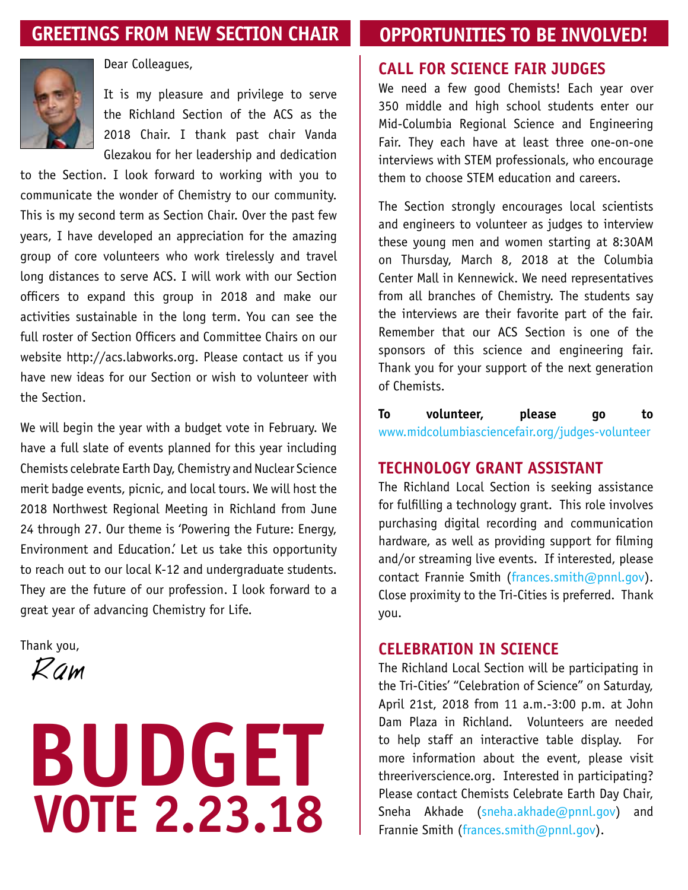# **greetings from new section chair**

# **opportunities to be involved!**



Dear Colleagues,

It is my pleasure and privilege to serve the Richland Section of the ACS as the 2018 Chair. I thank past chair Vanda Glezakou for her leadership and dedication

to the Section. I look forward to working with you to communicate the wonder of Chemistry to our community. This is my second term as Section Chair. Over the past few years, I have developed an appreciation for the amazing group of core volunteers who work tirelessly and travel long distances to serve ACS. I will work with our Section officers to expand this group in 2018 and make our activities sustainable in the long term. You can see the full roster of Section Officers and Committee Chairs on our website http://acs.labworks.org. Please contact us if you have new ideas for our Section or wish to volunteer with the Section.

We will begin the year with a budget vote in February. We have a full slate of events planned for this year including Chemists celebrate Earth Day, Chemistry and Nuclear Science merit badge events, picnic, and local tours. We will host the 2018 Northwest Regional Meeting in Richland from June 24 through 27. Our theme is 'Powering the Future: Energy, Environment and Education.' Let us take this opportunity to reach out to our local K-12 and undergraduate students. They are the future of our profession. I look forward to a great year of advancing Chemistry for Life.

Thank you,

Ram

# **VOTE 2.23.18 BUDGET**

#### **Call for Science Fair Judges**

We need a few good Chemists! Each year over 350 middle and high school students enter our Mid-Columbia Regional Science and Engineering Fair. They each have at least three one-on-one interviews with STEM professionals, who encourage them to choose STEM education and careers.

The Section strongly encourages local scientists and engineers to volunteer as judges to interview these young men and women starting at 8:30AM on Thursday, March 8, 2018 at the Columbia Center Mall in Kennewick. We need representatives from all branches of Chemistry. The students say the interviews are their favorite part of the fair. Remember that our ACS Section is one of the sponsors of this science and engineering fair. Thank you for your support of the next generation of Chemists.

**To volunteer, please go to** www.midcolumbiasciencefair.org/judges-volunteer

#### **technology grant assistant**

The Richland Local Section is seeking assistance for fulfilling a technology grant. This role involves purchasing digital recording and communication hardware, as well as providing support for filming and/or streaming live events. If interested, please contact Frannie Smith (frances.smith@pnnl.gov). Close proximity to the Tri-Cities is preferred. Thank you.

#### **celebration in science**

The Richland Local Section will be participating in the Tri-Cities' "Celebration of Science" on Saturday, April 21st, 2018 from 11 a.m.-3:00 p.m. at John Dam Plaza in Richland. Volunteers are needed to help staff an interactive table display. For more information about the event, please visit threeriverscience.org. Interested in participating? Please contact Chemists Celebrate Earth Day Chair, Sneha Akhade (sneha.akhade@pnnl.gov) and Frannie Smith (frances.smith@pnnl.gov).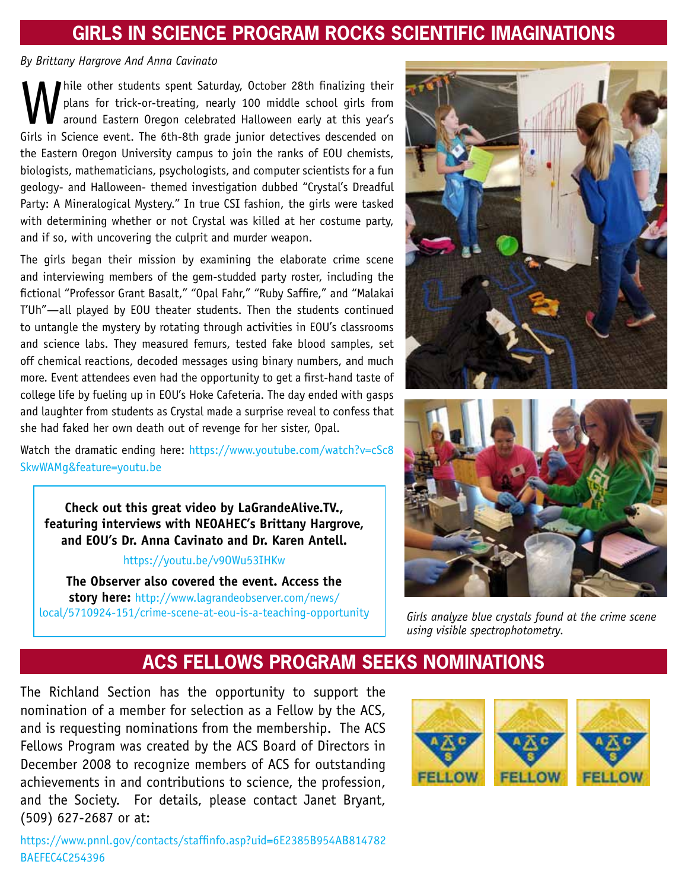# **GIRLS IN SCIENCE PROGRAM ROCKS SCIENTIFIC IMAGINATIONS**

#### *By Brittany Hargrove And Anna Cavinato*

While other students spent Saturday, October 28th finalizing their<br>plans for trick-or-treating, nearly 100 middle school girls from<br>around Eastern Oregon celebrated Halloween early at this year's<br>Girls in Science event. Th plans for trick-or-treating, nearly 100 middle school girls from around Eastern Oregon celebrated Halloween early at this year's Girls in Science event. The 6th-8th grade junior detectives descended on the Eastern Oregon University campus to join the ranks of EOU chemists, biologists, mathematicians, psychologists, and computer scientists for a fun geology- and Halloween- themed investigation dubbed "Crystal's Dreadful Party: A Mineralogical Mystery." In true CSI fashion, the girls were tasked with determining whether or not Crystal was killed at her costume party, and if so, with uncovering the culprit and murder weapon.

The girls began their mission by examining the elaborate crime scene and interviewing members of the gem-studded party roster, including the fictional "Professor Grant Basalt," "Opal Fahr," "Ruby Saffire," and "Malakai T'Uh"—all played by EOU theater students. Then the students continued to untangle the mystery by rotating through activities in EOU's classrooms and science labs. They measured femurs, tested fake blood samples, set off chemical reactions, decoded messages using binary numbers, and much more. Event attendees even had the opportunity to get a first-hand taste of college life by fueling up in EOU's Hoke Cafeteria. The day ended with gasps and laughter from students as Crystal made a surprise reveal to confess that she had faked her own death out of revenge for her sister, Opal.

Watch the dramatic ending here: https://www.youtube.com/watch?v=cSc8 SkwWAMg&feature=youtu.be



#### https://youtu.be/v9OWu53IHKw

**The Observer also covered the event. Access the story here:** http://www.lagrandeobserver.com/news/ local/5710924-151/crime-scene-at-eou-is-a-teaching-opportunity





*Girls analyze blue crystals found at the crime scene using visible spectrophotometry.*

### **aCS FEllows Program seeks nominations**

The Richland Section has the opportunity to support the nomination of a member for selection as a Fellow by the ACS, and is requesting nominations from the membership. The ACS Fellows Program was created by the ACS Board of Directors in December 2008 to recognize members of ACS for outstanding achievements in and contributions to science, the profession, and the Society. For details, please contact Janet Bryant, (509) 627-2687 or at:

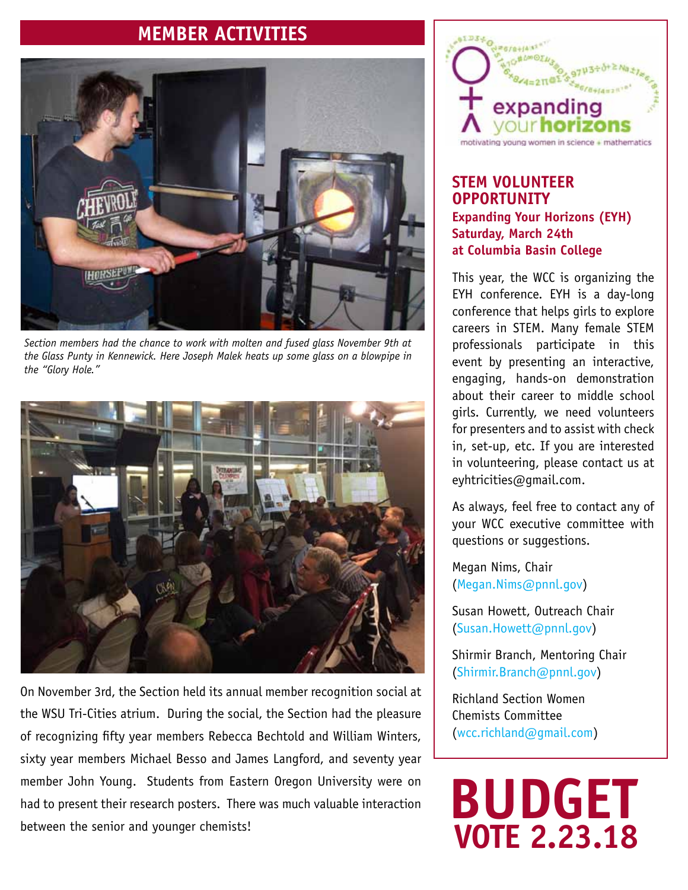## **member activities**



*Section members had the chance to work with molten and fused glass November 9th at the Glass Punty in Kennewick. Here Joseph Malek heats up some glass on a blowpipe in the "Glory Hole."*



On November 3rd, the Section held its annual member recognition social at the WSU Tri-Cities atrium. During the social, the Section had the pleasure of recognizing fifty year members Rebecca Bechtold and William Winters, sixty year members Michael Besso and James Langford, and seventy year member John Young. Students from Eastern Oregon University were on had to present their research posters. There was much valuable interaction between the senior and younger chemists!



#### **STEM Volunteer Opportunity Expanding Your Horizons (EYH) Saturday, March 24th at Columbia Basin College**

This year, the WCC is organizing the EYH conference. EYH is a day-long conference that helps girls to explore careers in STEM. Many female STEM professionals participate in this event by presenting an interactive, engaging, hands-on demonstration about their career to middle school girls. Currently, we need volunteers for presenters and to assist with check in, set-up, etc. If you are interested in volunteering, please contact us at eyhtricities@gmail.com.

As always, feel free to contact any of your WCC executive committee with questions or suggestions.

Megan Nims, Chair (Megan.Nims@pnnl.gov)

Susan Howett, Outreach Chair (Susan.Howett@pnnl.gov)

Shirmir Branch, Mentoring Chair (Shirmir.Branch@pnnl.gov)

Richland Section Women Chemists Committee (wcc.richland@gmail.com)

# **VOTE 2.23.18 BUDGET**